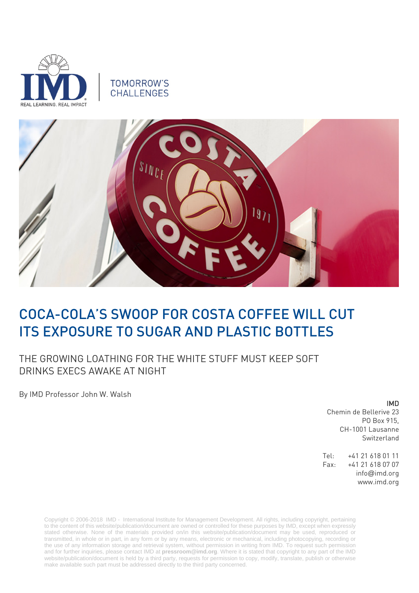

# **TOMORROW'S** CHALLENGES



# COCA-COLA'S SWOOP FOR COSTA COFFEE WILL CUT ITS EXPOSURE TO SUGAR AND PLASTIC BOTTLES

THE GROWING LOATHING FOR THE WHITE STUFF MUST KEEP SOFT DRINKS EXECS AWAKE AT NIGHT

By IMD Professor John W. Walsh

#### IMD

Chemin de Bellerive 23 PO Box 915, CH-1001 Lausanne Switzerland

Tel: +41 21 618 01 11 Fax: +41 21 618 07 07 info@imd.org www.imd.org

Copyright © 2006-2018 IMD - International Institute for Management Development. All rights, including copyright, pertaining to the content of this website/publication/document are owned or controlled for these purposes by IMD, except when expressly stated otherwise. None of the materials provided on/in this website/publication/document may be used, reproduced or transmitted, in whole or in part, in any form or by any means, electronic or mechanical, including photocopying, recording or the use of any information storage and retrieval system, without permission in writing from IMD. To request such permission and for further inquiries, please contact IMD at **[pressroom@imd.org](mailto:pressroom@imd.org)**. Where it is stated that copyright to any part of the IMD website/publication/document is held by a third party, requests for permission to copy, modify, translate, publish or otherwise make available such part must be addressed directly to the third party concerned.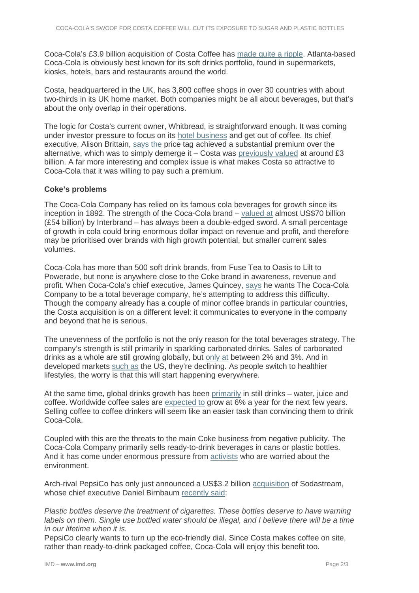Coca-Cola's £3.9 billion acquisition of Costa Coffee has [made quite a ripple.](https://www.cnbc.com/2018/08/31/whitbread-to-sell-coffee-chain-costa-to-coca-cola.html) Atlanta-based Coca-Cola is obviously best known for its soft drinks portfolio, found in supermarkets, kiosks, hotels, bars and restaurants around the world.

Costa, headquartered in the UK, has 3,800 coffee shops in over 30 countries with about two-thirds in its UK home market. Both companies might be all about beverages, but that's about the only overlap in their operations.

The logic for Costa's current owner, Whitbread, is straightforward enough. It was coming under investor pressure to focus on its [hotel business](https://www.whitbread.co.uk/our-brands/premier-inn) and get out of coffee. Its chief executive, Alison Brittain, [says the](https://www.telegraph.co.uk/business/2018/08/31/whitbread-sells-costa-coffee-coca-cola-39bn/) price tag achieved a substantial premium over the alternative, which was to simply demerge it  $-$  Costa was [previously valued](https://www.thetimes.co.uk/article/whitbread-agrees-to-sell-costa-coffee-for-3-9-billion-to-coca-cola-hzmqsdr99) at around  $£3$ billion. A far more interesting and complex issue is what makes Costa so attractive to Coca-Cola that it was willing to pay such a premium.

## **Coke's problems**

The Coca-Cola Company has relied on its famous cola beverages for growth since its inception in 1892. The strength of the Coca-Cola brand – [valued at](https://www.interbrand.com/best-brands/best-global-brands/2017/ranking/cocacola/) almost US\$70 billion (£54 billion) by Interbrand – has always been a double-edged sword. A small percentage of growth in cola could bring enormous dollar impact on revenue and profit, and therefore may be prioritised over brands with high growth potential, but smaller current sales volumes.

Coca-Cola has more than 500 soft drink brands, from Fuse Tea to Oasis to Lilt to Powerade, but none is anywhere close to the Coke brand in awareness, revenue and profit. When Coca-Cola's chief executive, James Quincey, [says](https://www.coca-colacompany.com/stories/quincey-at-cagny-we-are-going-to-be-a-total-beverage-company) he wants The Coca-Cola Company to be a total beverage company, he's attempting to address this difficulty. Though the company already has a couple of minor coffee brands in particular countries, the Costa acquisition is on a different level: it communicates to everyone in the company and beyond that he is serious.

The unevenness of the portfolio is not the only reason for the total beverages strategy. The company's strength is still primarily in sparkling carbonated drinks. Sales of carbonated drinks as a whole are still growing globally, but [only at](http://www.softdrinksinternational.com/userfiles/file/SDI_GlobalReview2018.pdf) between 2% and 3%. And in developed markets [such as](https://themarketmogul.com/global-soft-drinks-market-new-trends/) the US, they're declining. As people switch to healthier lifestyles, the worry is that this will start happening everywhere.

At the same time, global drinks growth has been [primarily](https://www.linkedin.com/pulse/global-still-drinks-market-gain-momentum-from-decreasing-kadam/) in still drinks – water, juice and coffee. Worldwide coffee sales are [expected to](https://www.mordorintelligence.com/industry-reports/coffee-market) grow at 6% a year for the next few years. Selling coffee to coffee drinkers will seem like an easier task than convincing them to drink Coca-Cola.

Coupled with this are the threats to the main Coke business from negative publicity. The Coca-Cola Company primarily sells ready-to-drink beverages in cans or plastic bottles. And it has come under enormous pressure from [activists](https://edition.cnn.com/2017/04/10/europe/coca-cola-greenpeace-protest/index.html) who are worried about the environment.

Arch-rival PepsiCo has only just announced a US\$3.2 billion [acquisition](https://www.bloomberg.com/news/articles/2018-08-20/pepsico-to-buy-drink-machine-maker-sodastream-for-3-2-billion) of Sodastream, whose chief executive Daniel Birnbaum [recently said:](https://www.campaignlive.co.uk/article/sodastream-ceo-plastic-bottles-will-cigarettes-generation/1439746)

*Plastic bottles deserve the treatment of cigarettes. These bottles deserve to have warning*  labels on them. Single use bottled water should be illegal, and I believe there will be a time *in our lifetime when it is.*

PepsiCo clearly wants to turn up the eco-friendly dial. Since Costa makes coffee on site, rather than ready-to-drink packaged coffee, Coca-Cola will enjoy this benefit too.